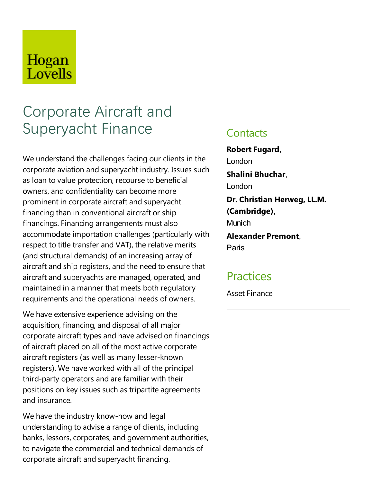# Hogan Lovells

# Corporate Aircraft and Superyacht Finance

We understand the challenges facing our clients in the corporate aviation and superyacht industry. Issues such as loan to value protection, recourse to beneficial owners, and confidentiality can become more prominent in corporate aircraft and superyacht financing than in conventional aircraft or ship financings. Financing arrangements must also accommodate importation challenges (particularly with respect to title transfer and VAT), the relative merits (and structural demands) of an increasing array of aircraft and ship registers, and the need to ensure that aircraft and superyachts are managed, operated, and maintained in a manner that meets both regulatory requirements and the operational needs of owners.

We have extensive experience advising on the acquisition, financing, and disposal of all major corporate aircraft types and have advised on financings of aircraft placed on all of the most active corporate aircraft registers (as well as many lesser-known registers). We have worked with all of the principal third-party operators and are familiar with their positions on key issues such as tripartite agreements and insurance.

We have the industry know-how and legal understanding to advise a range of clients, including banks, lessors, corporates, and government authorities, to navigate the commercial and technical demands of corporate aircraft and superyacht financing.

#### **Contacts**

**Robert Fugard,** London **Shalini Bhuchar**, London **Dr.** Christian Herweg, LL.M. **(Cambridge)**, Munich **Alexander Premont**, Paris

### **Practices**

Asset Finance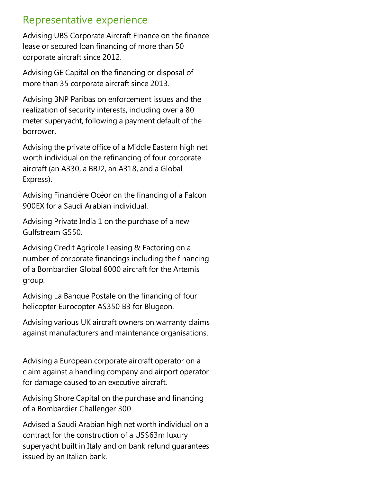## Representative experience

Advising UBS Corporate Aircraft Finance on the finance lease or secured loan financing of more than 50 corporate aircraft since 2012.

Advising GE Capital on the financing or disposal of more than 35 corporate aircraft since 2013.

Advising BNP Paribas on enforcement issues and the realization of security interests, including over a 80 meter superyacht, following a payment default of the borrower.

Advising the private office of a Middle Eastern high net worth individual on the refinancing of four corporate aircraft (an A330, a BBJ2, an A318, and a Global Express).

Advising Financière Océor on the financing of a Falcon 900EX for a Saudi Arabian individual.

Advising Private India 1 on the purchase of a new Gulfstream G550.

Advising Credit Agricole Leasing & Factoring on a number of corporate financings including the financing ofa Bombardier Global 6000 aircraft for the Artemis group.

Advising La Banque Postale on the financing of four helicopter Eurocopter AS350 B3 for Blugeon.

Advising various UK aircraft owners on warranty claims against manufacturers and maintenance organisations.

Advising a European corporate aircraft operator on a claim against a handling company and airport operator for damage caused to an executive aircraft.

Advising Shore Capital on the purchase and financing of a Bombardier Challenger 300.

Advised a Saudi Arabian high net worth individual on a contract for the construction of a US\$63m luxury superyacht built in Italy and on bank refund guarantees issued by an Italian bank.